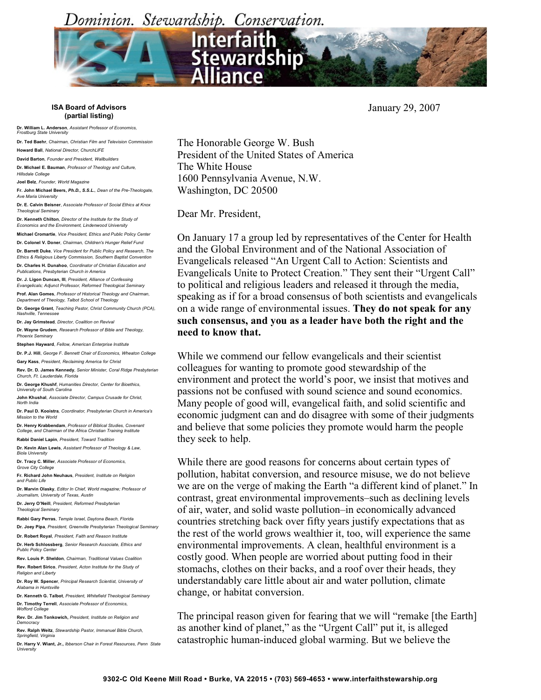Dominion. Stewardship. Conservation.



**ISA Board of Advisors (partial listing)**

**Dr. William L. Anderson**, *Assistant Professor of Economics, Frostburg State University*

**Dr. Ted Baehr**, *Chairman, Christian Film and Television Commission*  **Howard Ball**, *National Director, ChurchLIFE* 

**David Barton***, Founder and President, Wallbuilders*  **Dr. Michael E. Bauman**, *Professor of Theology and Culture, Hillsdale College*

**Joel Belz**, *Founder, World Magazine*

**Fr. John Michael Beers,** *Ph.D., S.S.L., Dean of the Pre-Theologate, Ave Maria University*

**Dr. E. Calvin Beisner**, *Associate Professor of Social Ethics at Knox Theological Seminary*

**Dr. Kenneth Chilton**, *Director of the Institute for the Study of Economics and the Environment, Lindenwood University*

**Michael Cromartie**, *Vice President, Ethics and Public Policy Center* **Dr. Colonel V. Doner**, *Chairman, Children's Hunger Relief Fund*

**Dr. Barrett Duke***, Vice President for Public Policy and Research, The Ethics & Religious Liberty Commission, Southern Baptist Convention* 

**Dr. Charles H. Dunahoo**, *Coordinator of Christian Education and Publications, Presbyterian Church in America*

**Dr. J. Ligon Duncan, III**, *President, Alliance of Confessing Evangelicals; Adjunct Professor, Reformed Theological Seminary* **Prof. Alan Gomes**, *Professor of Historical Theology and Chairman, Department of Theology, Talbot School of Theology*

**Dr. George Grant**, *Teaching Pastor, Christ Community Church (PCA), Nashville, Tennessee* 

**Dr. Jay Grimstead***, Director, Coalition on Revival*  **Dr. Wayne Grudem***, Research Professor of Bible and Theology, Phoenix Seminary*

**Stephen Hayward**, *Fellow, American Enterprise Institute* **Dr. P.J. Hill**, *George F. Bennett Chair of Economics, Wheaton College*

**Gary Kass**, *President, Reclaiming America for Christ*

**Rev. Dr. D. James Kennedy***, Senior Minister, Coral Ridge Presbyterian Church, Ft. Lauderdale, Florida* 

**Dr. George Khushf**, *Humanities Director, Center for Bioethics, University of South Carolina* **John Khushal**, *Associate Director, Campus Crusade for Christ,* 

*North India* 

**Dr. Paul D. Kooistra***, Coordinator, Presbyterian Church in America's Mission to the World* 

**Dr. Henry Krabbendam**, *Professor of Biblical Studies, Covenant College, and Chairman of the Africa Christian Training Institute* 

**Rabbi Daniel Lapin**, *President, Toward Tradition* **Dr. Kevin Alan Lewis**, *Assistant Professor of Theology & Law, Biola University* 

**Dr. Tracy C. Miller***, Associate Professor of Economics, Grove City College*

**Fr. Richard John Neuhaus**, *President, Institute on Religion and Public Life* 

**Dr. Marvin Olasky**, *Editor In Chief, World magazine; Professor of Journalism, University of Texas, Austin*

**Dr. Jerry O'Neill**, *President, Reformed Presbyterian Theological Seminary*

**Rabbi Gary Perras**, *Temple Israel, Daytona Beach, Florida* **Dr. Joey Pipa**, *President, Greenville Presbyterian Theological Seminary* 

**Dr. Robert Royal**, *President, Faith and Reason Institute* **Dr. Herb Schlossberg**, *Senior Research Associate, Ethics and* 

*Public Policy Center* **Rev. Louis P. Sheldon***, Chairman, Traditional Values Coalition* 

**Rev. Robert Sirico**, *President, Acton Institute for the Study of Religion and Liberty*

**Dr. Roy W. Spencer**, *Principal Research Scientist, University of Alabama in Huntsville*

**Dr. Kenneth G. Talbot**, *President, Whitefield Theological Seminary*  **Dr. Timothy Terrell**, *Associate Professor of Economics, Wofford College* 

**Rev. Dr. Jim Tonkowich,** *President, Institute on Religion and Democracy* 

**Rev. Ralph Weitz**, *Stewardship Pastor, Immanuel Bible Church, Springfield, Virginia* 

**Dr. Harry V. Wiant, Jr.,** *Ibberson Chair in Forest Resources, Penn State University* 

The Honorable George W. Bush President of the United States of America The White House 1600 Pennsylvania Avenue, N.W. Washington, DC 20500

Dear Mr. President,

On January 17 a group led by representatives of the Center for Health and the Global Environment and of the National Association of Evangelicals released "An Urgent Call to Action: Scientists and Evangelicals Unite to Protect Creation." They sent their "Urgent Call" to political and religious leaders and released it through the media, speaking as if for a broad consensus of both scientists and evangelicals on a wide range of environmental issues. **They do not speak for any such consensus, and you as a leader have both the right and the need to know that.**

While we commend our fellow evangelicals and their scientist colleagues for wanting to promote good stewardship of the environment and protect the world's poor, we insist that motives and passions not be confused with sound science and sound economics. Many people of good will, evangelical faith, and solid scientific and economic judgment can and do disagree with some of their judgments and believe that some policies they promote would harm the people they seek to help.

While there are good reasons for concerns about certain types of pollution, habitat conversion, and resource misuse, we do not believe we are on the verge of making the Earth "a different kind of planet." In contrast, great environmental improvements–such as declining levels of air, water, and solid waste pollution–in economically advanced countries stretching back over fifty years justify expectations that as the rest of the world grows wealthier it, too, will experience the same environmental improvements. A clean, healthful environment is a costly good. When people are worried about putting food in their stomachs, clothes on their backs, and a roof over their heads, they understandably care little about air and water pollution, climate change, or habitat conversion.

The principal reason given for fearing that we will "remake [the Earth] as another kind of planet," as the "Urgent Call" put it, is alleged catastrophic human-induced global warming. But we believe the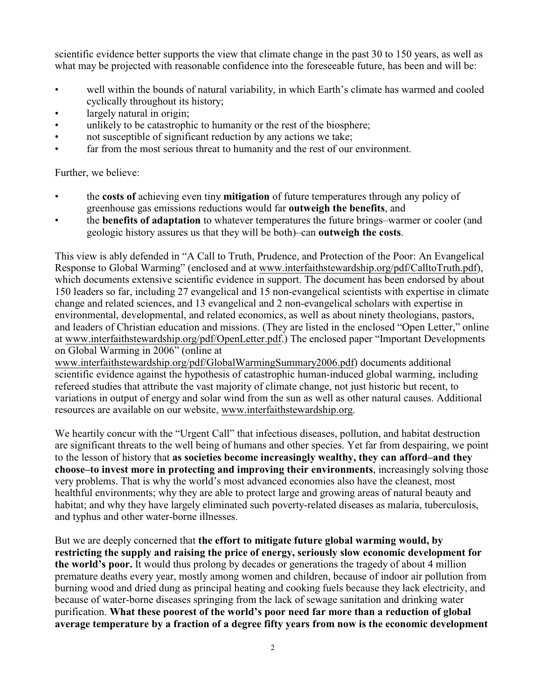scientific evidence better supports the view that climate change in the past 30 to 150 years, as well as what may be projected with reasonable confidence into the foreseeable future, has been and will be:

- well within the bounds of natural variability, in which Earth's climate has warmed and cooled cyclically throughout its history;
- largely natural in origin;
- unlikely to be catastrophic to humanity or the rest of the biosphere;
- not susceptible of significant reduction by any actions we take;
- far from the most serious threat to humanity and the rest of our environment.

Further, we believe:

- the **costs of** achieving even tiny **mitigation** of future temperatures through any policy of greenhouse gas emissions reductions would far **outweigh the benefits**, and
- the **benefits of adaptation** to whatever temperatures the future brings–warmer or cooler (and geologic history assures us that they will be both)–can **outweigh the costs**.

This view is ably defended in "A Call to Truth, Prudence, and Protection of the Poor: An Evangelical Response to Global Warming" (enclosed and at [www.interfaithstewardship.org/pdf/CalltoTruth.pdf\)](http://www.interfaithstewardship.org/pdf/CalltoTruth.pdf), which documents extensive scientific evidence in support. The document has been endorsed by about 150 leaders so far, including 27 evangelical and 15 non-evangelical scientists with expertise in climate change and related sciences, and 13 evangelical and 2 non-evangelical scholars with expertise in environmental, developmental, and related economics, as well as about ninety theologians, pastors, and leaders of Christian education and missions. (They are listed in the enclosed "Open Letter," online at [www.interfaithstewardship.org/pdf/OpenLetter.pdf](http://www.interfaithstewardship.org/pdf/OpenLetter.pdf).) The enclosed paper "Important Developments on Global Warming in 2006" (online at

[www.interfaithstewardship.org/pdf/GlobalWarmingSummary2006.pdf](http://www.interfaithstewardship.org/pdf/GlobalWarmingSummary2006.pdf)) documents additional scientific evidence against the hypothesis of catastrophic human-induced global warming, including refereed studies that attribute the vast majority of climate change, not just historic but recent, to variations in output of energy and solar wind from the sun as well as other natural causes. Additional resources are available on our website, [www.interfaithstewardship.org](http://www.interfaithstewardship.org).

We heartily concur with the "Urgent Call" that infectious diseases, pollution, and habitat destruction are significant threats to the well being of humans and other species. Yet far from despairing, we point to the lesson of history that **as societies become increasingly wealthy, they can afford–and they choose–to invest more in protecting and improving their environments**, increasingly solving those very problems. That is why the world's most advanced economies also have the cleanest, most healthful environments; why they are able to protect large and growing areas of natural beauty and habitat; and why they have largely eliminated such poverty-related diseases as malaria, tuberculosis, and typhus and other water-borne illnesses.

But we are deeply concerned that **the effort to mitigate future global warming would, by restricting the supply and raising the price of energy, seriously slow economic development for the world's poor.** It would thus prolong by decades or generations the tragedy of about 4 million premature deaths every year, mostly among women and children, because of indoor air pollution from burning wood and dried dung as principal heating and cooking fuels because they lack electricity, and because of water-borne diseases springing from the lack of sewage sanitation and drinking water purification. **What these poorest of the world's poor need far more than a reduction of global average temperature by a fraction of a degree fifty years from now is the economic development**